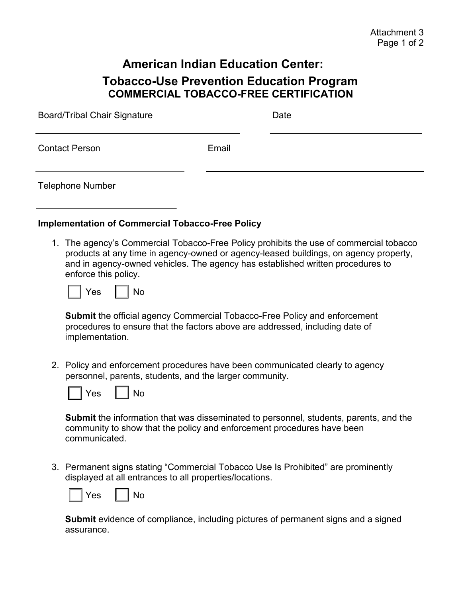## **American Indian Education Center: Tobacco-Use Prevention Education Program COMMERCIAL TOBACCO-FREE CERTIFICATION**

| <b>Board/Tribal Chair Signature</b> |       | Date |
|-------------------------------------|-------|------|
| <b>Contact Person</b>               | Email |      |
| <b>Telephone Number</b>             |       |      |

## **Implementation of Commercial Tobacco-Free Policy**

1. The agency's Commercial Tobacco-Free Policy prohibits the use of commercial tobacco products at any time in agency-owned or agency-leased buildings, on agency property, and in agency-owned vehicles. The agency has established written procedures to enforce this policy.



**Submit** the official agency Commercial Tobacco-Free Policy and enforcement procedures to ensure that the factors above are addressed, including date of implementation.

2. Policy and enforcement procedures have been communicated clearly to agency personnel, parents, students, and the larger community.



**Submit** the information that was disseminated to personnel, students, parents, and the community to show that the policy and enforcement procedures have been communicated.

3. Permanent signs stating "Commercial Tobacco Use Is Prohibited" are prominently displayed at all entrances to all properties/locations.



**Submit** evidence of compliance, including pictures of permanent signs and a signed assurance.